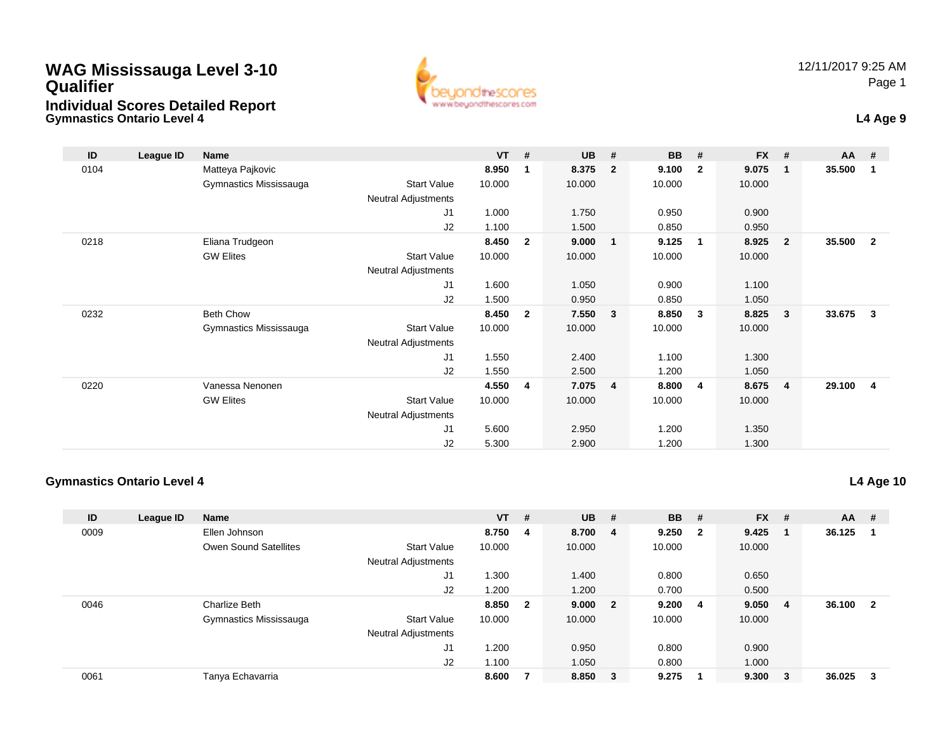### **WAG Mississauga Level 3-10 QualifierIndividual Scores Detailed Report**



| ID   | League ID | Name                   |                            | $VT$ # |                | <b>UB</b> | #              | <b>BB</b> | #              | $FX$ # |                         | $AA$ # |                |
|------|-----------|------------------------|----------------------------|--------|----------------|-----------|----------------|-----------|----------------|--------|-------------------------|--------|----------------|
| 0104 |           | Matteya Pajkovic       |                            | 8.950  | $\mathbf{1}$   | 8.375     | $\overline{2}$ | 9.100     | $\overline{2}$ | 9.075  | $\overline{\mathbf{1}}$ | 35.500 | -1             |
|      |           | Gymnastics Mississauga | Start Value                | 10.000 |                | 10.000    |                | 10.000    |                | 10.000 |                         |        |                |
|      |           |                        | <b>Neutral Adjustments</b> |        |                |           |                |           |                |        |                         |        |                |
|      |           |                        | J1                         | 1.000  |                | 1.750     |                | 0.950     |                | 0.900  |                         |        |                |
|      |           |                        | J2                         | 1.100  |                | 1.500     |                | 0.850     |                | 0.950  |                         |        |                |
| 0218 |           | Eliana Trudgeon        |                            | 8.450  | $\overline{2}$ | 9.000     | 1              | 9.125     | $\overline{1}$ | 8.925  | $\overline{\mathbf{2}}$ | 35.500 | $\overline{2}$ |
|      |           | <b>GW Elites</b>       | Start Value                | 10.000 |                | 10.000    |                | 10.000    |                | 10.000 |                         |        |                |
|      |           |                        | <b>Neutral Adjustments</b> |        |                |           |                |           |                |        |                         |        |                |
|      |           |                        | J <sub>1</sub>             | 1.600  |                | 1.050     |                | 0.900     |                | 1.100  |                         |        |                |
|      |           |                        | J2                         | 1.500  |                | 0.950     |                | 0.850     |                | 1.050  |                         |        |                |
| 0232 |           | <b>Beth Chow</b>       |                            | 8.450  | $\overline{2}$ | 7.550     | 3              | 8.850     | $\mathbf{3}$   | 8.825  | $\mathbf{3}$            | 33.675 | 3              |
|      |           | Gymnastics Mississauga | <b>Start Value</b>         | 10.000 |                | 10.000    |                | 10.000    |                | 10.000 |                         |        |                |
|      |           |                        | Neutral Adjustments        |        |                |           |                |           |                |        |                         |        |                |
|      |           |                        | J <sub>1</sub>             | 1.550  |                | 2.400     |                | 1.100     |                | 1.300  |                         |        |                |
|      |           |                        | J2                         | 1.550  |                | 2.500     |                | 1.200     |                | 1.050  |                         |        |                |
| 0220 |           | Vanessa Nenonen        |                            | 4.550  | 4              | 7.075     | $\overline{4}$ | 8.800     | $\overline{4}$ | 8.675  | $\overline{4}$          | 29.100 | $\overline{4}$ |
|      |           | <b>GW Elites</b>       | Start Value                | 10.000 |                | 10.000    |                | 10.000    |                | 10.000 |                         |        |                |
|      |           |                        | Neutral Adjustments        |        |                |           |                |           |                |        |                         |        |                |
|      |           |                        | J <sub>1</sub>             | 5.600  |                | 2.950     |                | 1.200     |                | 1.350  |                         |        |                |
|      |           |                        | J2                         | 5.300  |                | 2.900     |                | 1.200     |                | 1.300  |                         |        |                |

#### **Gymnastics Ontario Level 4**

**L4 Age 10**

| ID   | League ID | <b>Name</b>                  |                            | $VT$ # |                | <b>UB</b> | - # | <b>BB</b> | - #                     | $FX$ # |        | AA     | #   |
|------|-----------|------------------------------|----------------------------|--------|----------------|-----------|-----|-----------|-------------------------|--------|--------|--------|-----|
| 0009 |           | Ellen Johnson                |                            | 8.750  | -4             | 8.700 4   |     | 9.250     | $\overline{\mathbf{2}}$ | 9.425  |        | 36.125 | -1  |
|      |           | <b>Owen Sound Satellites</b> | <b>Start Value</b>         | 10.000 |                | 10.000    |     | 10.000    |                         | 10.000 |        |        |     |
|      |           |                              | <b>Neutral Adjustments</b> |        |                |           |     |           |                         |        |        |        |     |
|      |           |                              | J1                         | .300   |                | 1.400     |     | 0.800     |                         | 0.650  |        |        |     |
|      |           |                              | J2                         | 1.200  |                | 1.200     |     | 0.700     |                         | 0.500  |        |        |     |
| 0046 |           | Charlize Beth                |                            | 8.850  | $\overline{2}$ | 9.000 2   |     | 9.200     | - 4                     | 9.050  | -4     | 36.100 | - 2 |
|      |           | Gymnastics Mississauga       | <b>Start Value</b>         | 10.000 |                | 10.000    |     | 10.000    |                         | 10.000 |        |        |     |
|      |           |                              | <b>Neutral Adjustments</b> |        |                |           |     |           |                         |        |        |        |     |
|      |           |                              | J1                         | .200   |                | 0.950     |     | 0.800     |                         | 0.900  |        |        |     |
|      |           |                              | J2                         | 1.100  |                | 1.050     |     | 0.800     |                         | 1.000  |        |        |     |
| 0061 |           | Tanya Echavarria             |                            | 8.600  |                | 8.850 3   |     | 9.275     |                         | 9.300  | $_{3}$ | 36.025 | -3  |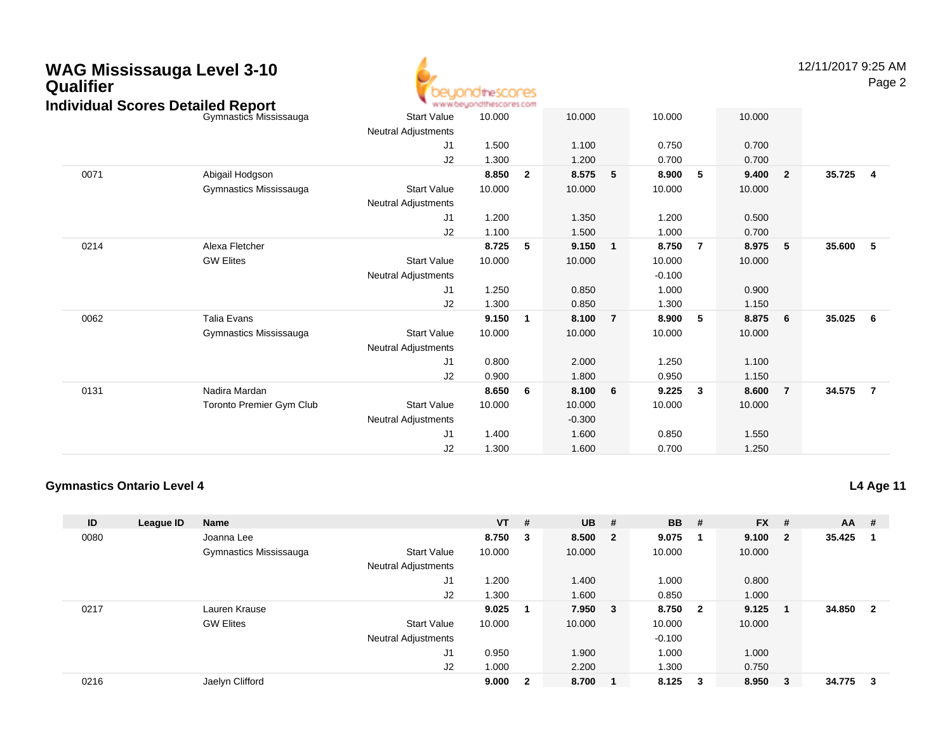# **WAG Mississauga Level 3-10 Qualifier Individual Scores Detailed Report** beyondthescores

12/11/2017 9:25 AMPage 2

|      | dividual Scores Detailed Report |                            | * www.beyondthescores.com |                |          |                 |          |                |        |                         |        |                |
|------|---------------------------------|----------------------------|---------------------------|----------------|----------|-----------------|----------|----------------|--------|-------------------------|--------|----------------|
|      | Gymnastics Mississauga          | <b>Start Value</b>         | 10.000                    |                | 10.000   |                 | 10.000   |                | 10.000 |                         |        |                |
|      |                                 | <b>Neutral Adjustments</b> |                           |                |          |                 |          |                |        |                         |        |                |
|      |                                 | J1                         | 1.500                     |                | 1.100    |                 | 0.750    |                | 0.700  |                         |        |                |
|      |                                 | J2                         | 1.300                     |                | 1.200    |                 | 0.700    |                | 0.700  |                         |        |                |
| 0071 | Abigail Hodgson                 |                            | 8.850                     | $\overline{2}$ | 8.575    | 5               | 8.900    | 5              | 9.400  | $\overline{\mathbf{2}}$ | 35.725 | 4              |
|      | Gymnastics Mississauga          | <b>Start Value</b>         | 10.000                    |                | 10.000   |                 | 10.000   |                | 10.000 |                         |        |                |
|      |                                 | <b>Neutral Adjustments</b> |                           |                |          |                 |          |                |        |                         |        |                |
|      |                                 | J1                         | 1.200                     |                | 1.350    |                 | 1.200    |                | 0.500  |                         |        |                |
|      |                                 | J2                         | 1.100                     |                | 1.500    |                 | 1.000    |                | 0.700  |                         |        |                |
| 0214 | Alexa Fletcher                  |                            | 8.725                     | 5              | 9.150    | 1               | 8.750    | $\overline{7}$ | 8.975  | 5                       | 35.600 | 5              |
|      | <b>GW Elites</b>                | <b>Start Value</b>         | 10.000                    |                | 10.000   |                 | 10.000   |                | 10.000 |                         |        |                |
|      |                                 | Neutral Adjustments        |                           |                |          |                 | $-0.100$ |                |        |                         |        |                |
|      |                                 | J1                         | 1.250                     |                | 0.850    |                 | 1.000    |                | 0.900  |                         |        |                |
|      |                                 | J2                         | 1.300                     |                | 0.850    |                 | 1.300    |                | 1.150  |                         |        |                |
| 0062 | Talia Evans                     |                            | 9.150                     | 1              | 8.100    | $\overline{7}$  | 8.900    | 5              | 8.875  | - 6                     | 35.025 | - 6            |
|      | Gymnastics Mississauga          | <b>Start Value</b>         | 10.000                    |                | 10.000   |                 | 10.000   |                | 10.000 |                         |        |                |
|      |                                 | <b>Neutral Adjustments</b> |                           |                |          |                 |          |                |        |                         |        |                |
|      |                                 | J1                         | 0.800                     |                | 2.000    |                 | 1.250    |                | 1.100  |                         |        |                |
|      |                                 | J2                         | 0.900                     |                | 1.800    |                 | 0.950    |                | 1.150  |                         |        |                |
| 0131 | Nadira Mardan                   |                            | 8.650                     | 6              | 8.100    | $6\overline{6}$ | 9.225    | $\mathbf{3}$   | 8.600  | $\overline{7}$          | 34.575 | $\overline{7}$ |
|      | <b>Toronto Premier Gym Club</b> | <b>Start Value</b>         | 10.000                    |                | 10.000   |                 | 10.000   |                | 10.000 |                         |        |                |
|      |                                 | Neutral Adjustments        |                           |                | $-0.300$ |                 |          |                |        |                         |        |                |
|      |                                 | J <sub>1</sub>             | 1.400                     |                | 1.600    |                 | 0.850    |                | 1.550  |                         |        |                |
|      |                                 | J <sub>2</sub>             | 1.300                     |                | 1.600    |                 | 0.700    |                | 1.250  |                         |        |                |
|      |                                 |                            |                           |                |          |                 |          |                |        |                         |        |                |

#### **Gymnastics Ontario Level 4**

**L4 Age 11**

| ID   | League ID | <b>Name</b>            |                            | $VT$ #  |              | $UB$ #  |        | <b>BB</b> | - #                     | <b>FX</b> | #                       | <b>AA</b> | -#           |
|------|-----------|------------------------|----------------------------|---------|--------------|---------|--------|-----------|-------------------------|-----------|-------------------------|-----------|--------------|
| 0080 |           | Joanna Lee             |                            | 8.750 3 |              | 8.500 2 |        | 9.075     | - 1                     | 9.100     | $\overline{\mathbf{2}}$ | 35.425    |              |
|      |           | Gymnastics Mississauga | <b>Start Value</b>         | 10.000  |              | 10.000  |        | 10.000    |                         | 10.000    |                         |           |              |
|      |           |                        | <b>Neutral Adjustments</b> |         |              |         |        |           |                         |           |                         |           |              |
|      |           |                        | J1                         | 1.200   |              | 1.400   |        | 1.000     |                         | 0.800     |                         |           |              |
|      |           |                        | J2                         | 1.300   |              | 1.600   |        | 0.850     |                         | 1.000     |                         |           |              |
| 0217 |           | Lauren Krause          |                            | 9.025   | -1           | 7.950   | $_{3}$ | 8.750     | $\overline{\mathbf{2}}$ | 9.125     |                         | 34.850    | $\mathbf{2}$ |
|      |           | <b>GW Elites</b>       | <b>Start Value</b>         | 10.000  |              | 10.000  |        | 10.000    |                         | 10.000    |                         |           |              |
|      |           |                        | <b>Neutral Adjustments</b> |         |              |         |        | $-0.100$  |                         |           |                         |           |              |
|      |           |                        | J <sub>1</sub>             | 0.950   |              | 1.900   |        | 1.000     |                         | 1.000     |                         |           |              |
|      |           |                        | J2                         | 1.000   |              | 2.200   |        | 1.300     |                         | 0.750     |                         |           |              |
| 0216 |           | Jaelyn Clifford        |                            | 9.000   | $\mathbf{2}$ | 8.700   |        | 8.125     | - 3                     | 8.950     | - 3                     | 34.775    | -3           |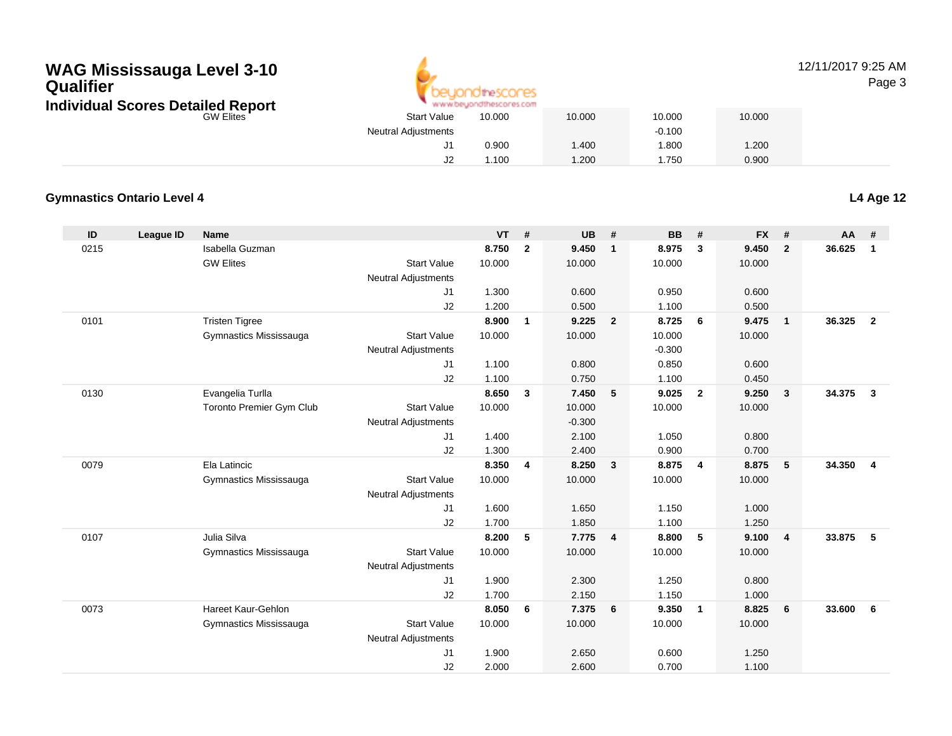## **WAG Mississauga Level 3-10 QualifierIndividual Scores Detailed Report**



#### 12/11/2017 9:25 AMPage 3

| Scores Detailed Report | www.beuondthescores.com    |        |        |          |        |  |  |  |
|------------------------|----------------------------|--------|--------|----------|--------|--|--|--|
| <b>GW Elites</b>       | <b>Start Value</b>         | 10.000 | 10.000 | 10.000   | 10.000 |  |  |  |
|                        | <b>Neutral Adjustments</b> |        |        | $-0.100$ |        |  |  |  |
|                        |                            | 0.900  | .400   | .800     | 1.200  |  |  |  |
|                        | J2                         | 1.100  | 1.200  | .750     | 0.900  |  |  |  |

#### **Gymnastics Ontario Level 4**

**L4 Age 12**

| ID   | <b>League ID</b> | <b>Name</b>              |                            | <b>VT</b>      | #            | <b>UB</b>      | #              | <b>BB</b>      | #              | <b>FX</b>      | #              | <b>AA</b> | #              |
|------|------------------|--------------------------|----------------------------|----------------|--------------|----------------|----------------|----------------|----------------|----------------|----------------|-----------|----------------|
| 0215 |                  | Isabella Guzman          |                            | 8.750          | $\mathbf{2}$ | 9.450          | $\mathbf{1}$   | 8.975          | $\mathbf{3}$   | 9.450          | $\overline{2}$ | 36.625    | $\mathbf{1}$   |
|      |                  | <b>GW Elites</b>         | <b>Start Value</b>         | 10.000         |              | 10.000         |                | 10.000         |                | 10.000         |                |           |                |
|      |                  |                          | <b>Neutral Adjustments</b> |                |              |                |                |                |                |                |                |           |                |
|      |                  |                          | J1                         | 1.300          |              | 0.600          |                | 0.950          |                | 0.600          |                |           |                |
|      |                  |                          | J2                         | 1.200          |              | 0.500          |                | 1.100          |                | 0.500          |                |           |                |
| 0101 |                  | <b>Tristen Tigree</b>    |                            | 8.900          | 1            | 9.225          | $\overline{2}$ | 8.725          | - 6            | 9.475          | $\overline{1}$ | 36.325    | $\overline{2}$ |
|      |                  | Gymnastics Mississauga   | <b>Start Value</b>         | 10.000         |              | 10.000         |                | 10.000         |                | 10.000         |                |           |                |
|      |                  |                          | <b>Neutral Adjustments</b> |                |              |                |                | $-0.300$       |                |                |                |           |                |
|      |                  |                          | J1                         | 1.100          |              | 0.800          |                | 0.850          |                | 0.600          |                |           |                |
|      |                  |                          | J2                         | 1.100          |              | 0.750          |                | 1.100          |                | 0.450          |                |           |                |
| 0130 |                  | Evangelia Turlla         |                            | 8.650          | 3            | 7.450          | 5              | 9.025          | $\overline{2}$ | 9.250          | $\mathbf{3}$   | 34.375    | $\mathbf{3}$   |
|      |                  | Toronto Premier Gym Club | <b>Start Value</b>         | 10.000         |              | 10.000         |                | 10.000         |                | 10.000         |                |           |                |
|      |                  |                          | <b>Neutral Adjustments</b> |                |              | $-0.300$       |                |                |                |                |                |           |                |
|      |                  |                          | J1                         | 1.400          |              | 2.100          |                | 1.050          |                | 0.800          |                |           |                |
|      |                  |                          | J2                         | 1.300          |              | 2.400          |                | 0.900          |                | 0.700          |                |           |                |
| 0079 |                  | Ela Latincic             |                            | 8.350          | 4            | 8.250          | $\mathbf{3}$   | 8.875          | $\overline{4}$ | 8.875          | 5              | 34.350    | $\overline{4}$ |
|      |                  | Gymnastics Mississauga   | <b>Start Value</b>         | 10.000         |              | 10.000         |                | 10.000         |                | 10.000         |                |           |                |
|      |                  |                          | Neutral Adjustments        |                |              |                |                |                |                |                |                |           |                |
|      |                  |                          | J1<br>J2                   | 1.600<br>1.700 |              | 1.650<br>1.850 |                | 1.150<br>1.100 |                | 1.000<br>1.250 |                |           |                |
| 0107 |                  | Julia Silva              |                            | 8.200          | 5            | 7.775          | $\overline{4}$ | 8.800          | 5              | 9.100          | $\overline{4}$ | 33,875    | - 5            |
|      |                  | Gymnastics Mississauga   | <b>Start Value</b>         | 10.000         |              | 10.000         |                | 10.000         |                | 10.000         |                |           |                |
|      |                  |                          | <b>Neutral Adjustments</b> |                |              |                |                |                |                |                |                |           |                |
|      |                  |                          | J1                         | 1.900          |              | 2.300          |                | 1.250          |                | 0.800          |                |           |                |
|      |                  |                          | J2                         | 1.700          |              | 2.150          |                | 1.150          |                | 1.000          |                |           |                |
| 0073 |                  | Hareet Kaur-Gehlon       |                            | 8.050          | 6            | 7.375          | 6              | 9.350          | $\overline{1}$ | 8.825          | 6              | 33.600    | 6              |
|      |                  | Gymnastics Mississauga   | <b>Start Value</b>         | 10.000         |              | 10.000         |                | 10.000         |                | 10.000         |                |           |                |
|      |                  |                          | <b>Neutral Adjustments</b> |                |              |                |                |                |                |                |                |           |                |
|      |                  |                          | J <sub>1</sub>             | 1.900          |              | 2.650          |                | 0.600          |                | 1.250          |                |           |                |
|      |                  |                          | J2                         | 2.000          |              | 2.600          |                | 0.700          |                | 1.100          |                |           |                |
|      |                  |                          |                            |                |              |                |                |                |                |                |                |           |                |